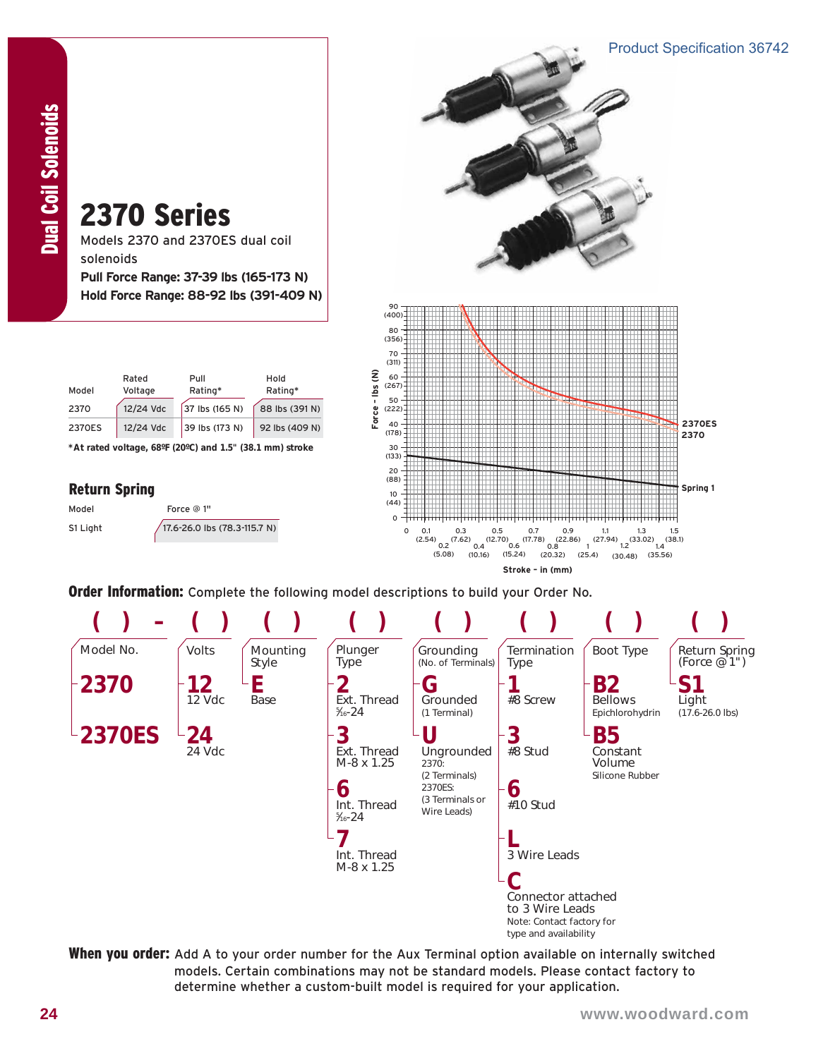



When you order: Add A to your order number for the Aux Terminal option available on internally switched models. Certain combinations may not be standard models. Please contact factory to determine whether a custom-built model is required for your application.

Product Specification 36742